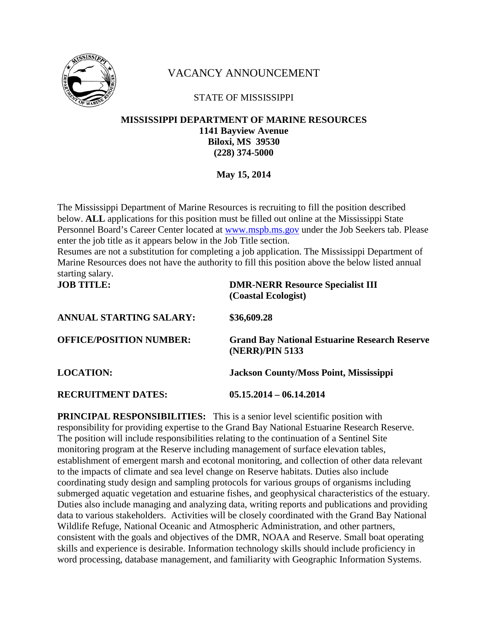

# VACANCY ANNOUNCEMENT

### STATE OF MISSISSIPPI

#### **MISSISSIPPI DEPARTMENT OF MARINE RESOURCES 1141 Bayview Avenue Biloxi, MS 39530 (228) 374-5000**

**May 15, 2014**

The Mississippi Department of Marine Resources is recruiting to fill the position described below. **ALL** applications for this position must be filled out online at the Mississippi State Personnel Board's Career Center located at [www.mspb.ms.gov](http://www.mspb.ms.gov/) under the Job Seekers tab. Please enter the job title as it appears below in the Job Title section.

Resumes are not a substitution for completing a job application. The Mississippi Department of Marine Resources does not have the authority to fill this position above the below listed annual starting salary.

| <b>JOB TITLE:</b>              | <b>DMR-NERR Resource Specialist III</b><br>(Coastal Ecologist)          |
|--------------------------------|-------------------------------------------------------------------------|
| <b>ANNUAL STARTING SALARY:</b> | \$36,609.28                                                             |
| <b>OFFICE/POSITION NUMBER:</b> | <b>Grand Bay National Estuarine Research Reserve</b><br>(NERR)/PIN 5133 |
| <b>LOCATION:</b>               | <b>Jackson County/Moss Point, Mississippi</b>                           |
| <b>RECRUITMENT DATES:</b>      | $05.15.2014 - 06.14.2014$                                               |

**PRINCIPAL RESPONSIBILITIES:** This is a senior level scientific position with responsibility for providing expertise to the Grand Bay National Estuarine Research Reserve. The position will include responsibilities relating to the continuation of a Sentinel Site monitoring program at the Reserve including management of surface elevation tables, establishment of emergent marsh and ecotonal monitoring, and collection of other data relevant to the impacts of climate and sea level change on Reserve habitats. Duties also include coordinating study design and sampling protocols for various groups of organisms including submerged aquatic vegetation and estuarine fishes, and geophysical characteristics of the estuary. Duties also include managing and analyzing data, writing reports and publications and providing data to various stakeholders. Activities will be closely coordinated with the Grand Bay National Wildlife Refuge, National Oceanic and Atmospheric Administration, and other partners, consistent with the goals and objectives of the DMR, NOAA and Reserve. Small boat operating skills and experience is desirable. Information technology skills should include proficiency in word processing, database management, and familiarity with Geographic Information Systems.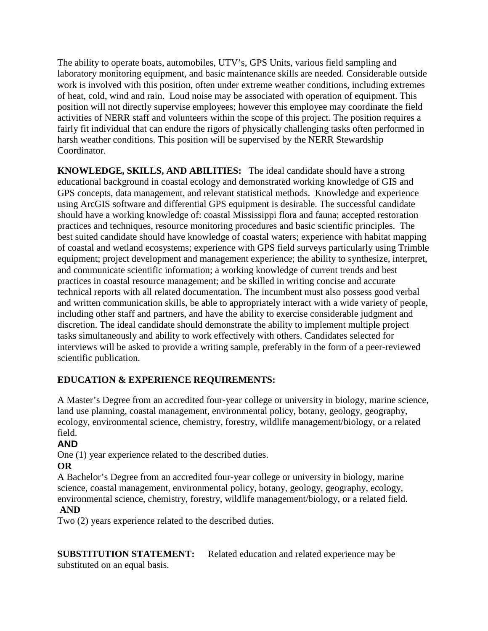The ability to operate boats, automobiles, UTV's, GPS Units, various field sampling and laboratory monitoring equipment, and basic maintenance skills are needed. Considerable outside work is involved with this position, often under extreme weather conditions, including extremes of heat, cold, wind and rain. Loud noise may be associated with operation of equipment. This position will not directly supervise employees; however this employee may coordinate the field activities of NERR staff and volunteers within the scope of this project. The position requires a fairly fit individual that can endure the rigors of physically challenging tasks often performed in harsh weather conditions. This position will be supervised by the NERR Stewardship Coordinator.

**KNOWLEDGE, SKILLS, AND ABILITIES:** The ideal candidate should have a strong educational background in coastal ecology and demonstrated working knowledge of GIS and GPS concepts, data management, and relevant statistical methods. Knowledge and experience using ArcGIS software and differential GPS equipment is desirable. The successful candidate should have a working knowledge of: coastal Mississippi flora and fauna; accepted restoration practices and techniques, resource monitoring procedures and basic scientific principles. The best suited candidate should have knowledge of coastal waters; experience with habitat mapping of coastal and wetland ecosystems; experience with GPS field surveys particularly using Trimble equipment; project development and management experience; the ability to synthesize, interpret, and communicate scientific information; a working knowledge of current trends and best practices in coastal resource management; and be skilled in writing concise and accurate technical reports with all related documentation. The incumbent must also possess good verbal and written communication skills, be able to appropriately interact with a wide variety of people, including other staff and partners, and have the ability to exercise considerable judgment and discretion. The ideal candidate should demonstrate the ability to implement multiple project tasks simultaneously and ability to work effectively with others. Candidates selected for interviews will be asked to provide a writing sample, preferably in the form of a peer-reviewed scientific publication.

## **EDUCATION & EXPERIENCE REQUIREMENTS:**

A Master's Degree from an accredited four-year college or university in biology, marine science, land use planning, coastal management, environmental policy, botany, geology, geography, ecology, environmental science, chemistry, forestry, wildlife management/biology, or a related field.

# **AND**

One (1) year experience related to the described duties.

# **OR**

A Bachelor's Degree from an accredited four-year college or university in biology, marine science, coastal management, environmental policy, botany, geology, geography, ecology, environmental science, chemistry, forestry, wildlife management/biology, or a related field.

## **AND**

Two (2) years experience related to the described duties.

**SUBSTITUTION STATEMENT:** Related education and related experience may be substituted on an equal basis.